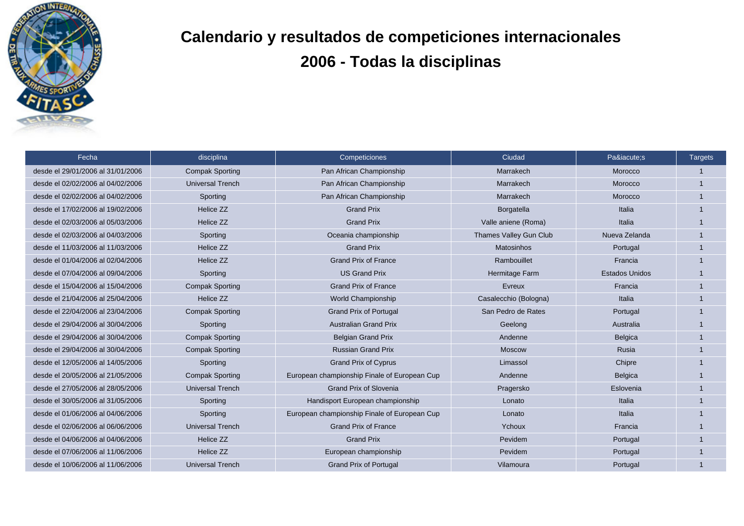

## **Calendario y resultados de competiciones internacionales 2006 - Todas la disciplinas**

| Fecha                             | disciplina              | Competiciones                                | Ciudad                        | Paí:s                 | <b>Targets</b> |
|-----------------------------------|-------------------------|----------------------------------------------|-------------------------------|-----------------------|----------------|
| desde el 29/01/2006 al 31/01/2006 | <b>Compak Sporting</b>  | Pan African Championship                     | Marrakech                     | Morocco               |                |
| desde el 02/02/2006 al 04/02/2006 | <b>Universal Trench</b> | Pan African Championship                     | Marrakech                     | Morocco               |                |
| desde el 02/02/2006 al 04/02/2006 | Sporting                | Pan African Championship                     | Marrakech                     | Morocco               |                |
| desde el 17/02/2006 al 19/02/2006 | Helice ZZ               | <b>Grand Prix</b>                            | Borgatella                    | Italia                |                |
| desde el 02/03/2006 al 05/03/2006 | Helice ZZ               | <b>Grand Prix</b>                            | Valle aniene (Roma)           | Italia                |                |
| desde el 02/03/2006 al 04/03/2006 | Sporting                | Oceania championship                         | <b>Thames Valley Gun Club</b> | Nueva Zelanda         |                |
| desde el 11/03/2006 al 11/03/2006 | Helice ZZ               | <b>Grand Prix</b>                            | <b>Matosinhos</b>             | Portugal              |                |
| desde el 01/04/2006 al 02/04/2006 | Helice ZZ               | <b>Grand Prix of France</b>                  | Rambouillet                   | Francia               |                |
| desde el 07/04/2006 al 09/04/2006 | Sporting                | <b>US Grand Prix</b>                         | Hermitage Farm                | <b>Estados Unidos</b> |                |
| desde el 15/04/2006 al 15/04/2006 | <b>Compak Sporting</b>  | <b>Grand Prix of France</b>                  | Evreux                        | Francia               |                |
| desde el 21/04/2006 al 25/04/2006 | Helice ZZ               | World Championship                           | Casalecchio (Bologna)         | Italia                |                |
| desde el 22/04/2006 al 23/04/2006 | <b>Compak Sporting</b>  | <b>Grand Prix of Portugal</b>                | San Pedro de Rates            | Portugal              |                |
| desde el 29/04/2006 al 30/04/2006 | Sporting                | <b>Australian Grand Prix</b>                 | Geelong                       | Australia             |                |
| desde el 29/04/2006 al 30/04/2006 | <b>Compak Sporting</b>  | <b>Belgian Grand Prix</b>                    | Andenne                       | Belgica               |                |
| desde el 29/04/2006 al 30/04/2006 | <b>Compak Sporting</b>  | <b>Russian Grand Prix</b>                    | Moscow                        | Rusia                 |                |
| desde el 12/05/2006 al 14/05/2006 | Sporting                | <b>Grand Prix of Cyprus</b>                  | Limassol                      | Chipre                |                |
| desde el 20/05/2006 al 21/05/2006 | <b>Compak Sporting</b>  | European championship Finale of European Cup | Andenne                       | Belgica               |                |
| desde el 27/05/2006 al 28/05/2006 | <b>Universal Trench</b> | <b>Grand Prix of Slovenia</b>                | Pragersko                     | Eslovenia             |                |
| desde el 30/05/2006 al 31/05/2006 | Sporting                | Handisport European championship             | Lonato                        | Italia                |                |
| desde el 01/06/2006 al 04/06/2006 | Sporting                | European championship Finale of European Cup | Lonato                        | Italia                |                |
| desde el 02/06/2006 al 06/06/2006 | <b>Universal Trench</b> | <b>Grand Prix of France</b>                  | Ychoux                        | Francia               |                |
| desde el 04/06/2006 al 04/06/2006 | Helice ZZ               | <b>Grand Prix</b>                            | Pevidem                       | Portugal              |                |
| desde el 07/06/2006 al 11/06/2006 | Helice ZZ               | European championship                        | Pevidem                       | Portugal              |                |
| desde el 10/06/2006 al 11/06/2006 | <b>Universal Trench</b> | <b>Grand Prix of Portugal</b>                | Vilamoura                     | Portugal              |                |